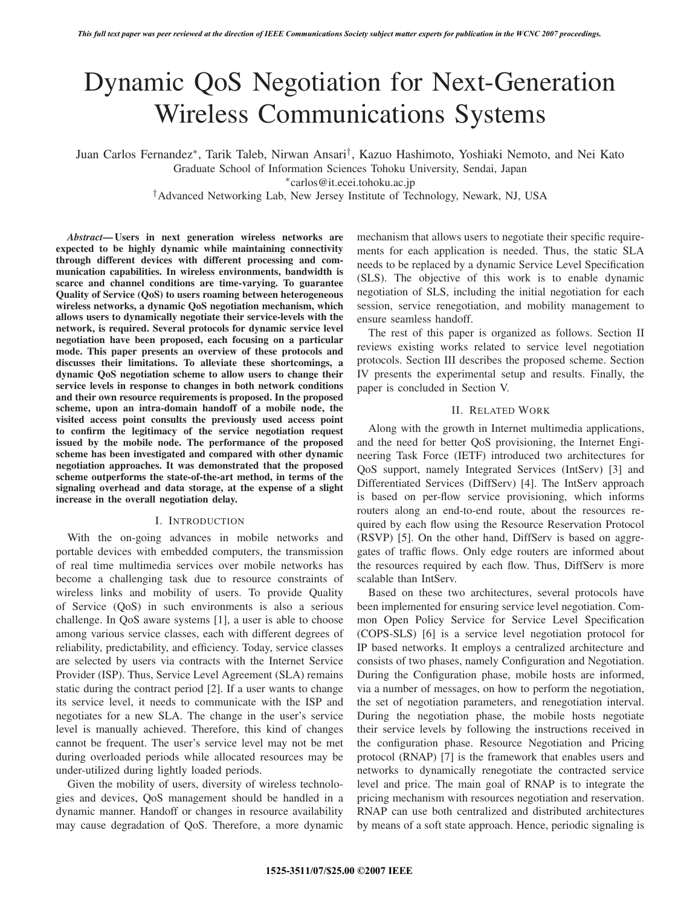# Dynamic QoS Negotiation for Next-Generation Wireless Communications Systems

Juan Carlos Fernandez∗, Tarik Taleb, Nirwan Ansari†, Kazuo Hashimoto, Yoshiaki Nemoto, and Nei Kato

Graduate School of Information Sciences Tohoku University, Sendai, Japan

∗carlos@it.ecei.tohoku.ac.jp

†Advanced Networking Lab, New Jersey Institute of Technology, Newark, NJ, USA

*Abstract***— Users in next generation wireless networks are expected to be highly dynamic while maintaining connectivity through different devices with different processing and communication capabilities. In wireless environments, bandwidth is scarce and channel conditions are time-varying. To guarantee Quality of Service (QoS) to users roaming between heterogeneous wireless networks, a dynamic QoS negotiation mechanism, which allows users to dynamically negotiate their service-levels with the network, is required. Several protocols for dynamic service level negotiation have been proposed, each focusing on a particular mode. This paper presents an overview of these protocols and discusses their limitations. To alleviate these shortcomings, a dynamic QoS negotiation scheme to allow users to change their service levels in response to changes in both network conditions and their own resource requirements is proposed. In the proposed scheme, upon an intra-domain handoff of a mobile node, the visited access point consults the previously used access point to confirm the legitimacy of the service negotiation request issued by the mobile node. The performance of the proposed scheme has been investigated and compared with other dynamic negotiation approaches. It was demonstrated that the proposed scheme outperforms the state-of-the-art method, in terms of the signaling overhead and data storage, at the expense of a slight increase in the overall negotiation delay.**

### I. INTRODUCTION

With the on-going advances in mobile networks and portable devices with embedded computers, the transmission of real time multimedia services over mobile networks has become a challenging task due to resource constraints of wireless links and mobility of users. To provide Quality of Service (QoS) in such environments is also a serious challenge. In QoS aware systems [1], a user is able to choose among various service classes, each with different degrees of reliability, predictability, and efficiency. Today, service classes are selected by users via contracts with the Internet Service Provider (ISP). Thus, Service Level Agreement (SLA) remains static during the contract period [2]. If a user wants to change its service level, it needs to communicate with the ISP and negotiates for a new SLA. The change in the user's service level is manually achieved. Therefore, this kind of changes cannot be frequent. The user's service level may not be met during overloaded periods while allocated resources may be under-utilized during lightly loaded periods.

Given the mobility of users, diversity of wireless technologies and devices, QoS management should be handled in a dynamic manner. Handoff or changes in resource availability may cause degradation of QoS. Therefore, a more dynamic mechanism that allows users to negotiate their specific requirements for each application is needed. Thus, the static SLA needs to be replaced by a dynamic Service Level Specification (SLS). The objective of this work is to enable dynamic negotiation of SLS, including the initial negotiation for each session, service renegotiation, and mobility management to ensure seamless handoff.

The rest of this paper is organized as follows. Section II reviews existing works related to service level negotiation protocols. Section III describes the proposed scheme. Section IV presents the experimental setup and results. Finally, the paper is concluded in Section V.

## II. RELATED WORK

Along with the growth in Internet multimedia applications, and the need for better QoS provisioning, the Internet Engineering Task Force (IETF) introduced two architectures for QoS support, namely Integrated Services (IntServ) [3] and Differentiated Services (DiffServ) [4]. The IntServ approach is based on per-flow service provisioning, which informs routers along an end-to-end route, about the resources required by each flow using the Resource Reservation Protocol (RSVP) [5]. On the other hand, DiffServ is based on aggregates of traffic flows. Only edge routers are informed about the resources required by each flow. Thus, DiffServ is more scalable than IntServ.

Based on these two architectures, several protocols have been implemented for ensuring service level negotiation. Common Open Policy Service for Service Level Specification (COPS-SLS) [6] is a service level negotiation protocol for IP based networks. It employs a centralized architecture and consists of two phases, namely Configuration and Negotiation. During the Configuration phase, mobile hosts are informed, via a number of messages, on how to perform the negotiation, the set of negotiation parameters, and renegotiation interval. During the negotiation phase, the mobile hosts negotiate their service levels by following the instructions received in the configuration phase. Resource Negotiation and Pricing protocol (RNAP) [7] is the framework that enables users and networks to dynamically renegotiate the contracted service level and price. The main goal of RNAP is to integrate the pricing mechanism with resources negotiation and reservation. RNAP can use both centralized and distributed architectures by means of a soft state approach. Hence, periodic signaling is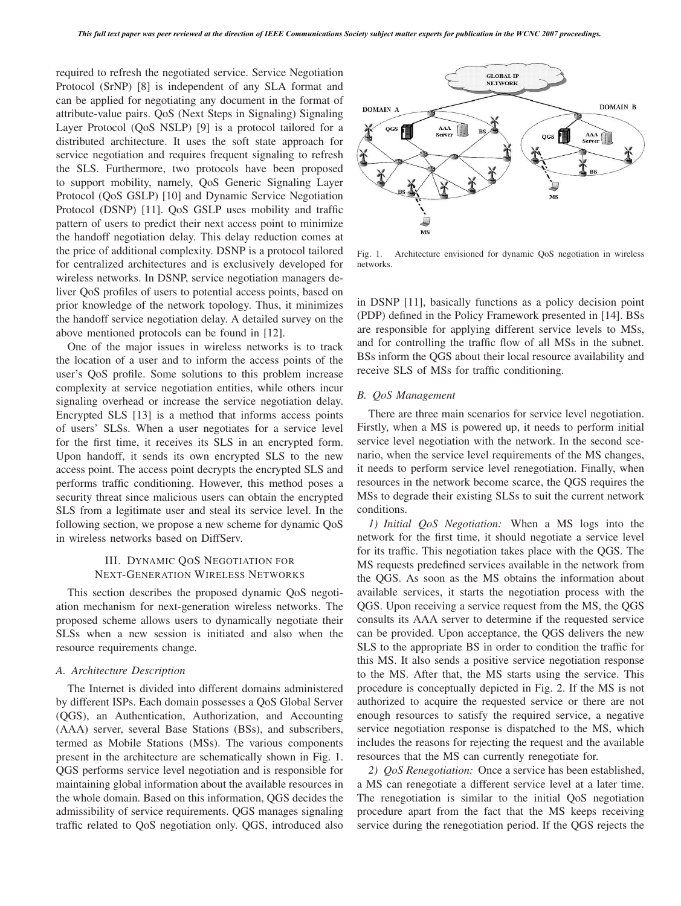required to refresh the negotiated service. Service Negotiation Protocol (SrNP) [8] is independent of any SLA format and can be applied for negotiating any document in the format of attribute-value pairs. QoS (Next Steps in Signaling) Signaling Layer Protocol (QoS NSLP) [9] is a protocol tailored for a distributed architecture. It uses the soft state approach for service negotiation and requires frequent signaling to refresh the SLS. Furthermore, two protocols have been proposed to support mobility, namely, QoS Generic Signaling Layer Protocol (QoS GSLP) [10] and Dynamic Service Negotiation Protocol (DSNP) [11]. QoS GSLP uses mobility and traffic pattern of users to predict their next access point to minimize the handoff negotiation delay. This delay reduction comes at the price of additional complexity. DSNP is a protocol tailored for centralized architectures and is exclusively developed for wireless networks. In DSNP, service negotiation managers deliver QoS profiles of users to potential access points, based on prior knowledge of the network topology. Thus, it minimizes the handoff service negotiation delay. A detailed survey on the above mentioned protocols can be found in [12].

One of the major issues in wireless networks is to track the location of a user and to inform the access points of the user's QoS profile. Some solutions to this problem increase complexity at service negotiation entities, while others incur signaling overhead or increase the service negotiation delay. Encrypted SLS [13] is a method that informs access points of users' SLSs. When a user negotiates for a service level for the first time, it receives its SLS in an encrypted form. Upon handoff, it sends its own encrypted SLS to the new access point. The access point decrypts the encrypted SLS and performs traffic conditioning. However, this method poses a security threat since malicious users can obtain the encrypted SLS from a legitimate user and steal its service level. In the following section, we propose a new scheme for dynamic QoS in wireless networks based on DiffServ.

# III. DYNAMIC QOS NEGOTIATION FOR NEXT-GENERATION WIRELESS NETWORKS

This section describes the proposed dynamic QoS negotiation mechanism for next-generation wireless networks. The proposed scheme allows users to dynamically negotiate their SLSs when a new session is initiated and also when the resource requirements change.

#### *A. Architecture Description*

The Internet is divided into different domains administered by different ISPs. Each domain possesses a QoS Global Server (QGS), an Authentication, Authorization, and Accounting (AAA) server, several Base Stations (BSs), and subscribers, termed as Mobile Stations (MSs). The various components present in the architecture are schematically shown in Fig. 1. QGS performs service level negotiation and is responsible for maintaining global information about the available resources in the whole domain. Based on this information, QGS decides the admissibility of service requirements. QGS manages signaling traffic related to QoS negotiation only. QGS, introduced also



Fig. 1. Architecture envisioned for dynamic QoS negotiation in wireless networks.

in DSNP [11], basically functions as a policy decision point (PDP) defined in the Policy Framework presented in [14]. BSs are responsible for applying different service levels to MSs, and for controlling the traffic flow of all MSs in the subnet. BSs inform the QGS about their local resource availability and receive SLS of MSs for traffic conditioning.

## *B. QoS Management*

There are three main scenarios for service level negotiation. Firstly, when a MS is powered up, it needs to perform initial service level negotiation with the network. In the second scenario, when the service level requirements of the MS changes, it needs to perform service level renegotiation. Finally, when resources in the network become scarce, the QGS requires the MSs to degrade their existing SLSs to suit the current network conditions.

*1) Initial QoS Negotiation:* When a MS logs into the network for the first time, it should negotiate a service level for its traffic. This negotiation takes place with the QGS. The MS requests predefined services available in the network from the QGS. As soon as the MS obtains the information about available services, it starts the negotiation process with the QGS. Upon receiving a service request from the MS, the QGS consults its AAA server to determine if the requested service can be provided. Upon acceptance, the QGS delivers the new SLS to the appropriate BS in order to condition the traffic for this MS. It also sends a positive service negotiation response to the MS. After that, the MS starts using the service. This procedure is conceptually depicted in Fig. 2. If the MS is not authorized to acquire the requested service or there are not enough resources to satisfy the required service, a negative service negotiation response is dispatched to the MS, which includes the reasons for rejecting the request and the available resources that the MS can currently renegotiate for.

*2) QoS Renegotiation:* Once a service has been established, a MS can renegotiate a different service level at a later time. The renegotiation is similar to the initial QoS negotiation procedure apart from the fact that the MS keeps receiving service during the renegotiation period. If the QGS rejects the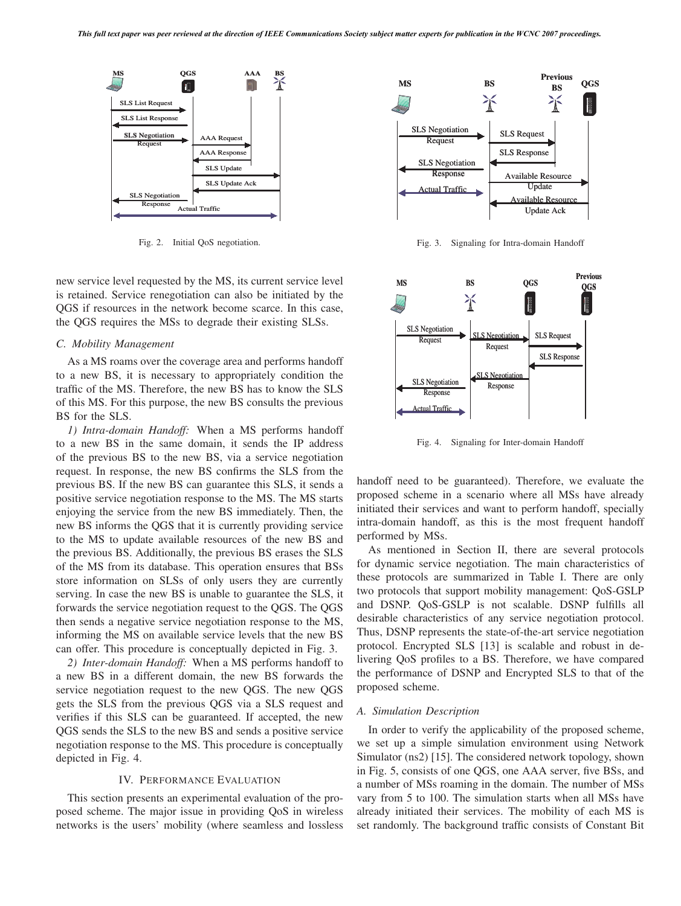

Fig. 2. Initial QoS negotiation.

new service level requested by the MS, its current service level is retained. Service renegotiation can also be initiated by the QGS if resources in the network become scarce. In this case, the QGS requires the MSs to degrade their existing SLSs.

#### *C. Mobility Management*

As a MS roams over the coverage area and performs handoff to a new BS, it is necessary to appropriately condition the traffic of the MS. Therefore, the new BS has to know the SLS of this MS. For this purpose, the new BS consults the previous BS for the SLS.

*1) Intra-domain Handoff:* When a MS performs handoff to a new BS in the same domain, it sends the IP address of the previous BS to the new BS, via a service negotiation request. In response, the new BS confirms the SLS from the previous BS. If the new BS can guarantee this SLS, it sends a positive service negotiation response to the MS. The MS starts enjoying the service from the new BS immediately. Then, the new BS informs the QGS that it is currently providing service to the MS to update available resources of the new BS and the previous BS. Additionally, the previous BS erases the SLS of the MS from its database. This operation ensures that BSs store information on SLSs of only users they are currently serving. In case the new BS is unable to guarantee the SLS, it forwards the service negotiation request to the QGS. The QGS then sends a negative service negotiation response to the MS, informing the MS on available service levels that the new BS can offer. This procedure is conceptually depicted in Fig. 3.

*2) Inter-domain Handoff:* When a MS performs handoff to a new BS in a different domain, the new BS forwards the service negotiation request to the new QGS. The new QGS gets the SLS from the previous QGS via a SLS request and verifies if this SLS can be guaranteed. If accepted, the new QGS sends the SLS to the new BS and sends a positive service negotiation response to the MS. This procedure is conceptually depicted in Fig. 4.

## IV. PERFORMANCE EVALUATION

This section presents an experimental evaluation of the proposed scheme. The major issue in providing QoS in wireless networks is the users' mobility (where seamless and lossless



Fig. 3. Signaling for Intra-domain Handoff



handoff need to be guaranteed). Therefore, we evaluate the proposed scheme in a scenario where all MSs have already initiated their services and want to perform handoff, specially intra-domain handoff, as this is the most frequent handoff performed by MSs.

As mentioned in Section II, there are several protocols for dynamic service negotiation. The main characteristics of these protocols are summarized in Table I. There are only two protocols that support mobility management: QoS-GSLP and DSNP. QoS-GSLP is not scalable. DSNP fulfills all desirable characteristics of any service negotiation protocol. Thus, DSNP represents the state-of-the-art service negotiation protocol. Encrypted SLS [13] is scalable and robust in delivering QoS profiles to a BS. Therefore, we have compared the performance of DSNP and Encrypted SLS to that of the proposed scheme.

#### *A. Simulation Description*

In order to verify the applicability of the proposed scheme, we set up a simple simulation environment using Network Simulator (ns2) [15]. The considered network topology, shown in Fig. 5, consists of one QGS, one AAA server, five BSs, and a number of MSs roaming in the domain. The number of MSs vary from 5 to 100. The simulation starts when all MSs have already initiated their services. The mobility of each MS is set randomly. The background traffic consists of Constant Bit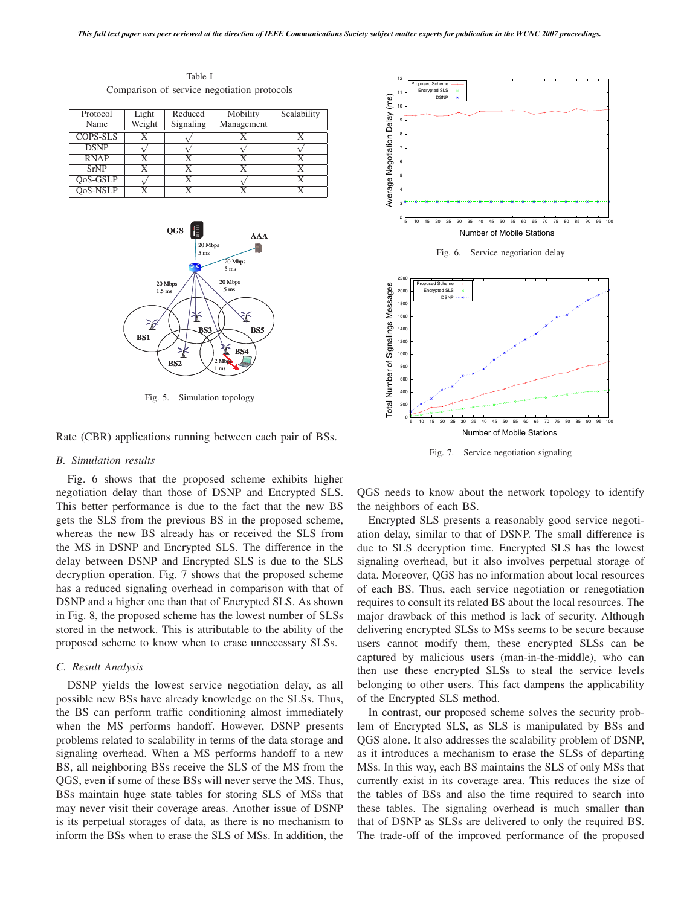| Protocol        | Light  | Reduced   | Mobility   | Scalability |
|-----------------|--------|-----------|------------|-------------|
| Name            | Weight | Signaling | Management |             |
| COPS-SLS        |        |           |            |             |
| <b>DSNP</b>     |        |           |            |             |
| <b>RNAP</b>     | X      |           |            |             |
| <b>SrNP</b>     | X      |           |            |             |
| QoS-GSLP        |        |           |            |             |
| <b>OoS-NSLP</b> |        |           |            |             |

Table I Comparison of service negotiation protocols



Fig. 5. Simulation topology

Rate (CBR) applications running between each pair of BSs.

#### *B. Simulation results*

Fig. 6 shows that the proposed scheme exhibits higher negotiation delay than those of DSNP and Encrypted SLS. This better performance is due to the fact that the new BS gets the SLS from the previous BS in the proposed scheme, whereas the new BS already has or received the SLS from the MS in DSNP and Encrypted SLS. The difference in the delay between DSNP and Encrypted SLS is due to the SLS decryption operation. Fig. 7 shows that the proposed scheme has a reduced signaling overhead in comparison with that of DSNP and a higher one than that of Encrypted SLS. As shown in Fig. 8, the proposed scheme has the lowest number of SLSs stored in the network. This is attributable to the ability of the proposed scheme to know when to erase unnecessary SLSs.

# *C. Result Analysis*

DSNP yields the lowest service negotiation delay, as all possible new BSs have already knowledge on the SLSs. Thus, the BS can perform traffic conditioning almost immediately when the MS performs handoff. However, DSNP presents problems related to scalability in terms of the data storage and signaling overhead. When a MS performs handoff to a new BS, all neighboring BSs receive the SLS of the MS from the QGS, even if some of these BSs will never serve the MS. Thus, BSs maintain huge state tables for storing SLS of MSs that may never visit their coverage areas. Another issue of DSNP is its perpetual storages of data, as there is no mechanism to inform the BSs when to erase the SLS of MSs. In addition, the



Fig. 6. Service negotiation delay



Fig. 7. Service negotiation signaling

QGS needs to know about the network topology to identify the neighbors of each BS.

Encrypted SLS presents a reasonably good service negotiation delay, similar to that of DSNP. The small difference is due to SLS decryption time. Encrypted SLS has the lowest signaling overhead, but it also involves perpetual storage of data. Moreover, QGS has no information about local resources of each BS. Thus, each service negotiation or renegotiation requires to consult its related BS about the local resources. The major drawback of this method is lack of security. Although delivering encrypted SLSs to MSs seems to be secure because users cannot modify them, these encrypted SLSs can be captured by malicious users (man-in-the-middle), who can then use these encrypted SLSs to steal the service levels belonging to other users. This fact dampens the applicability of the Encrypted SLS method.

In contrast, our proposed scheme solves the security problem of Encrypted SLS, as SLS is manipulated by BSs and QGS alone. It also addresses the scalability problem of DSNP, as it introduces a mechanism to erase the SLSs of departing MSs. In this way, each BS maintains the SLS of only MSs that currently exist in its coverage area. This reduces the size of the tables of BSs and also the time required to search into these tables. The signaling overhead is much smaller than that of DSNP as SLSs are delivered to only the required BS. The trade-off of the improved performance of the proposed